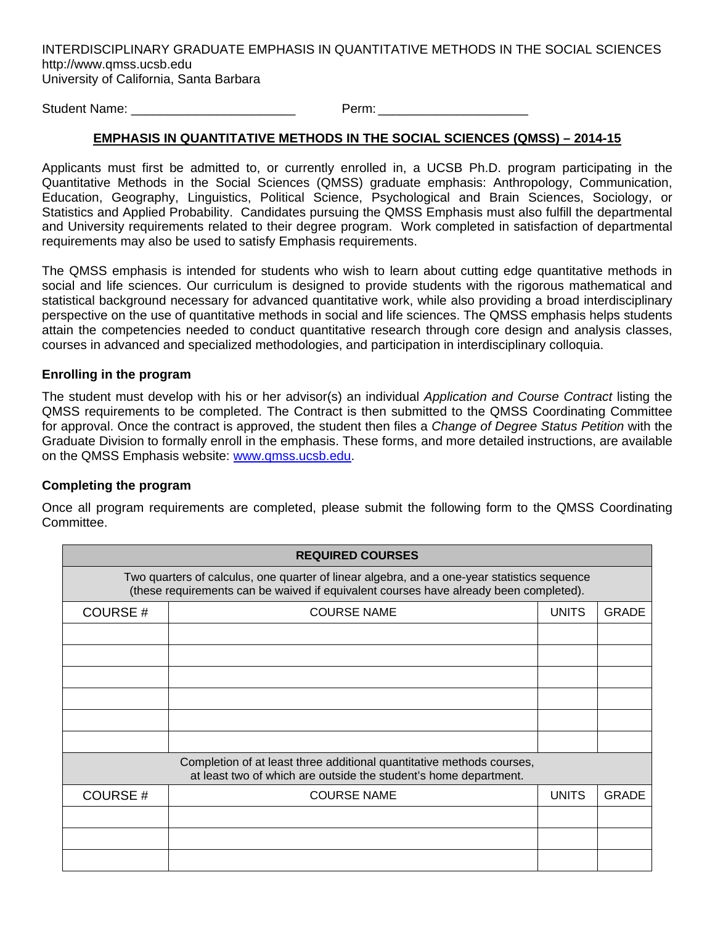INTERDISCIPLINARY GRADUATE EMPHASIS IN QUANTITATIVE METHODS IN THE SOCIAL SCIENCES http://www.qmss.ucsb.edu University of California, Santa Barbara

Student Name:  $\blacksquare$ 

## **EMPHASIS IN QUANTITATIVE METHODS IN THE SOCIAL SCIENCES (QMSS) – 2014-15**

Applicants must first be admitted to, or currently enrolled in, a UCSB Ph.D. program participating in the Quantitative Methods in the Social Sciences (QMSS) graduate emphasis: Anthropology, Communication, Education, Geography, Linguistics, Political Science, Psychological and Brain Sciences, Sociology, or Statistics and Applied Probability. Candidates pursuing the QMSS Emphasis must also fulfill the departmental and University requirements related to their degree program. Work completed in satisfaction of departmental requirements may also be used to satisfy Emphasis requirements.

The QMSS emphasis is intended for students who wish to learn about cutting edge quantitative methods in social and life sciences. Our curriculum is designed to provide students with the rigorous mathematical and statistical background necessary for advanced quantitative work, while also providing a broad interdisciplinary perspective on the use of quantitative methods in social and life sciences. The QMSS emphasis helps students attain the competencies needed to conduct quantitative research through core design and analysis classes, courses in advanced and specialized methodologies, and participation in interdisciplinary colloquia.

## **Enrolling in the program**

The student must develop with his or her advisor(s) an individual *Application and Course Contract* listing the QMSS requirements to be completed. The Contract is then submitted to the QMSS Coordinating Committee for approval. Once the contract is approved, the student then files a *Change of Degree Status Petition* with the Graduate Division to formally enroll in the emphasis. These forms, and more detailed instructions, are available on the QMSS Emphasis website: www.qmss.ucsb.edu.

## **Completing the program**

Once all program requirements are completed, please submit the following form to the QMSS Coordinating Committee.

| <b>REQUIRED COURSES</b>                                                                                                                                                              |                    |              |              |  |  |  |  |
|--------------------------------------------------------------------------------------------------------------------------------------------------------------------------------------|--------------------|--------------|--------------|--|--|--|--|
| Two quarters of calculus, one quarter of linear algebra, and a one-year statistics sequence<br>(these requirements can be waived if equivalent courses have already been completed). |                    |              |              |  |  |  |  |
| <b>COURSE#</b>                                                                                                                                                                       | <b>COURSE NAME</b> | <b>UNITS</b> | <b>GRADE</b> |  |  |  |  |
|                                                                                                                                                                                      |                    |              |              |  |  |  |  |
|                                                                                                                                                                                      |                    |              |              |  |  |  |  |
|                                                                                                                                                                                      |                    |              |              |  |  |  |  |
|                                                                                                                                                                                      |                    |              |              |  |  |  |  |
|                                                                                                                                                                                      |                    |              |              |  |  |  |  |
|                                                                                                                                                                                      |                    |              |              |  |  |  |  |
| Completion of at least three additional quantitative methods courses,<br>at least two of which are outside the student's home department.                                            |                    |              |              |  |  |  |  |
| COURSE#                                                                                                                                                                              | <b>COURSE NAME</b> | <b>UNITS</b> | <b>GRADE</b> |  |  |  |  |
|                                                                                                                                                                                      |                    |              |              |  |  |  |  |
|                                                                                                                                                                                      |                    |              |              |  |  |  |  |
|                                                                                                                                                                                      |                    |              |              |  |  |  |  |